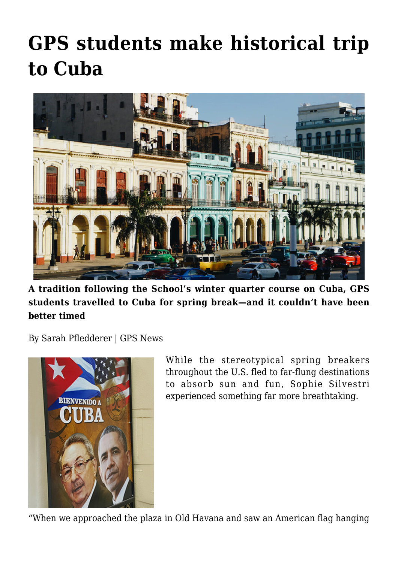## **[GPS students make historical trip](https://gpsnews.ucsd.edu/gps-students-make-historical-trip-to-cuba/) [to Cuba](https://gpsnews.ucsd.edu/gps-students-make-historical-trip-to-cuba/)**



**A tradition following the School's winter quarter course on Cuba, GPS students travelled to Cuba for spring break—and it couldn't have been better timed**

By Sarah Pfledderer | GPS News



While the stereotypical spring breakers throughout the U.S. fled to far-flung destinations to absorb sun and fun, Sophie Silvestri experienced something far more breathtaking.

"When we approached the plaza in Old Havana and saw an American flag hanging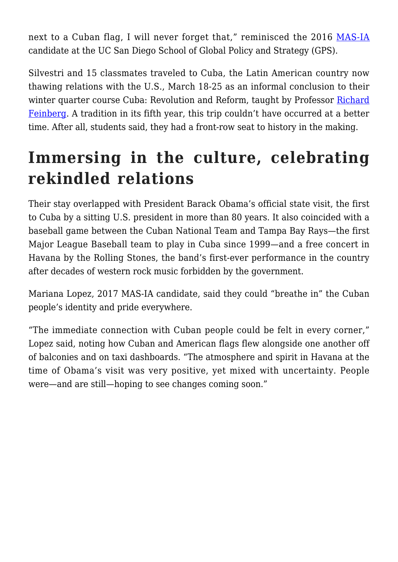next to a Cuban flag, I will never forget that," reminisced the 2016 [MAS-IA](https://gps.ucsd.edu/academics/mas-ia.html) candidate at the UC San Diego School of Global Policy and Strategy (GPS).

Silvestri and 15 classmates traveled to Cuba, the Latin American country now thawing relations with the U.S., March 18-25 as an informal conclusion to their winter quarter course Cuba: Revolution and Reform, taught by Professor [Richard](https://gps.ucsd.edu/faculty-directory/richard-feinberg.html) [Feinberg](https://gps.ucsd.edu/faculty-directory/richard-feinberg.html). A tradition in its fifth year, this trip couldn't have occurred at a better time. After all, students said, they had a front-row seat to history in the making.

## **Immersing in the culture, celebrating rekindled relations**

Their stay overlapped with President Barack Obama's official state visit, the first to Cuba by a sitting U.S. president in more than 80 years. It also coincided with a baseball game between the Cuban National Team and Tampa Bay Rays—the first Major League Baseball team to play in Cuba since 1999—and a free concert in Havana by the Rolling Stones, the band's first-ever performance in the country after decades of western rock music forbidden by the government.

Mariana Lopez, 2017 MAS-IA candidate, said they could "breathe in" the Cuban people's identity and pride everywhere.

"The immediate connection with Cuban people could be felt in every corner," Lopez said, noting how Cuban and American flags flew alongside one another off of balconies and on taxi dashboards. "The atmosphere and spirit in Havana at the time of Obama's visit was very positive, yet mixed with uncertainty. People were—and are still—hoping to see changes coming soon."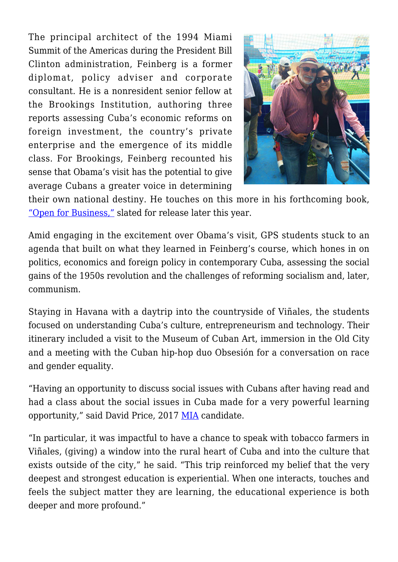The principal architect of the 1994 Miami Summit of the Americas during the President Bill Clinton administration, Feinberg is a former diplomat, policy adviser and corporate consultant. He is a nonresident senior fellow at the Brookings Institution, authoring three reports assessing Cuba's economic reforms on foreign investment, the country's private enterprise and the emergence of its middle class. For Brookings, Feinberg recounted his sense that Obama's visit has the potential to give average Cubans a greater voice in determining



their own national destiny. He touches on this more in his forthcoming book, ["Open for Business,"](http://www.brookings.edu/research/books/2016/open-for-business) slated for release later this year.

Amid engaging in the excitement over Obama's visit, GPS students stuck to an agenda that built on what they learned in Feinberg's course, which hones in on politics, economics and foreign policy in contemporary Cuba, assessing the social gains of the 1950s revolution and the challenges of reforming socialism and, later, communism.

Staying in Havana with a daytrip into the countryside of Viñales, the students focused on understanding Cuba's culture, entrepreneurism and technology. Their itinerary included a visit to the Museum of Cuban Art, immersion in the Old City and a meeting with the Cuban hip-hop duo Obsesión for a conversation on race and gender equality.

"Having an opportunity to discuss social issues with Cubans after having read and had a class about the social issues in Cuba made for a very powerful learning opportunity," said David Price, 2017 [MIA](https://gps.ucsd.edu/academics/mia.html) candidate.

"In particular, it was impactful to have a chance to speak with tobacco farmers in Viñales, (giving) a window into the rural heart of Cuba and into the culture that exists outside of the city," he said. "This trip reinforced my belief that the very deepest and strongest education is experiential. When one interacts, touches and feels the subject matter they are learning, the educational experience is both deeper and more profound."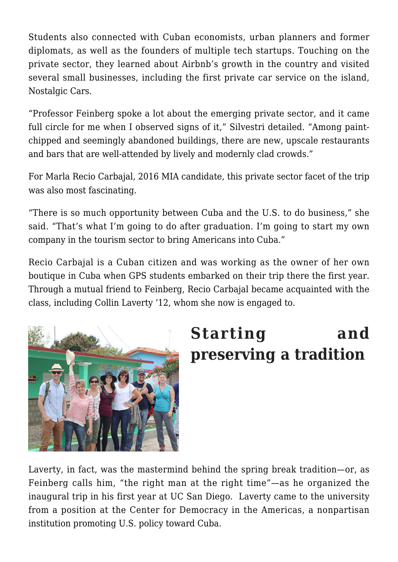Students also connected with Cuban economists, urban planners and former diplomats, as well as the founders of multiple tech startups. Touching on the private sector, they learned about Airbnb's growth in the country and visited several small businesses, including the first private car service on the island, Nostalgic Cars.

"Professor Feinberg spoke a lot about the emerging private sector, and it came full circle for me when I observed signs of it," Silvestri detailed. "Among paintchipped and seemingly abandoned buildings, there are new, upscale restaurants and bars that are well-attended by lively and modernly clad crowds."

For Marla Recio Carbajal, 2016 MIA candidate, this private sector facet of the trip was also most fascinating.

"There is so much opportunity between Cuba and the U.S. to do business," she said. "That's what I'm going to do after graduation. I'm going to start my own company in the tourism sector to bring Americans into Cuba."

Recio Carbajal is a Cuban citizen and was working as the owner of her own boutique in Cuba when GPS students embarked on their trip there the first year. Through a mutual friend to Feinberg, Recio Carbajal became acquainted with the class, including Collin Laverty '12, whom she now is engaged to.



## **Starting and preserving a tradition**

Laverty, in fact, was the mastermind behind the spring break tradition—or, as Feinberg calls him, "the right man at the right time"—as he organized the inaugural trip in his first year at UC San Diego. Laverty came to the university from a position at the Center for Democracy in the Americas, a nonpartisan institution promoting U.S. policy toward Cuba.